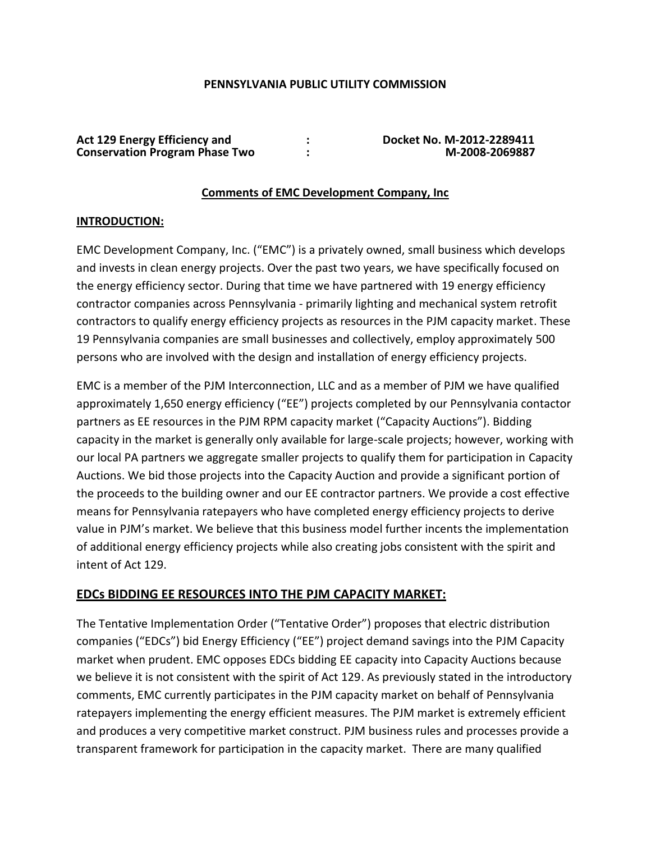## **PENNSYLVANIA PUBLIC UTILITY COMMISSION**

| <b>Act 129 Energy Efficiency and</b>  | Docket No. M-2012-2289411 |
|---------------------------------------|---------------------------|
| <b>Conservation Program Phase Two</b> | M-2008-2069887            |

### **Comments of EMC Development Company, Inc**

## **INTRODUCTION:**

EMC Development Company, Inc. ("EMC") is a privately owned, small business which develops and invests in clean energy projects. Over the past two years, we have specifically focused on the energy efficiency sector. During that time we have partnered with 19 energy efficiency contractor companies across Pennsylvania - primarily lighting and mechanical system retrofit contractors to qualify energy efficiency projects as resources in the PJM capacity market. These 19 Pennsylvania companies are small businesses and collectively, employ approximately 500 persons who are involved with the design and installation of energy efficiency projects.

EMC is a member of the PJM Interconnection, LLC and as a member of PJM we have qualified approximately 1,650 energy efficiency ("EE") projects completed by our Pennsylvania contactor partners as EE resources in the PJM RPM capacity market ("Capacity Auctions"). Bidding capacity in the market is generally only available for large-scale projects; however, working with our local PA partners we aggregate smaller projects to qualify them for participation in Capacity Auctions. We bid those projects into the Capacity Auction and provide a significant portion of the proceeds to the building owner and our EE contractor partners. We provide a cost effective means for Pennsylvania ratepayers who have completed energy efficiency projects to derive value in PJM's market. We believe that this business model further incents the implementation of additional energy efficiency projects while also creating jobs consistent with the spirit and intent of Act 129.

# **EDCs BIDDING EE RESOURCES INTO THE PJM CAPACITY MARKET:**

The Tentative Implementation Order ("Tentative Order") proposes that electric distribution companies ("EDCs") bid Energy Efficiency ("EE") project demand savings into the PJM Capacity market when prudent. EMC opposes EDCs bidding EE capacity into Capacity Auctions because we believe it is not consistent with the spirit of Act 129. As previously stated in the introductory comments, EMC currently participates in the PJM capacity market on behalf of Pennsylvania ratepayers implementing the energy efficient measures. The PJM market is extremely efficient and produces a very competitive market construct. PJM business rules and processes provide a transparent framework for participation in the capacity market. There are many qualified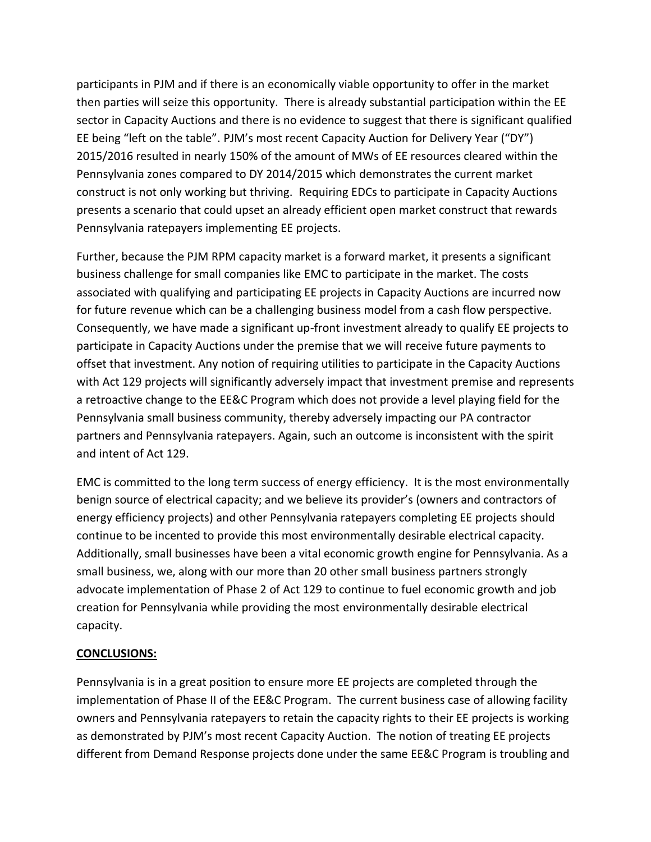participants in PJM and if there is an economically viable opportunity to offer in the market then parties will seize this opportunity. There is already substantial participation within the EE sector in Capacity Auctions and there is no evidence to suggest that there is significant qualified EE being "left on the table". PJM's most recent Capacity Auction for Delivery Year ("DY") 2015/2016 resulted in nearly 150% of the amount of MWs of EE resources cleared within the Pennsylvania zones compared to DY 2014/2015 which demonstrates the current market construct is not only working but thriving. Requiring EDCs to participate in Capacity Auctions presents a scenario that could upset an already efficient open market construct that rewards Pennsylvania ratepayers implementing EE projects.

Further, because the PJM RPM capacity market is a forward market, it presents a significant business challenge for small companies like EMC to participate in the market. The costs associated with qualifying and participating EE projects in Capacity Auctions are incurred now for future revenue which can be a challenging business model from a cash flow perspective. Consequently, we have made a significant up-front investment already to qualify EE projects to participate in Capacity Auctions under the premise that we will receive future payments to offset that investment. Any notion of requiring utilities to participate in the Capacity Auctions with Act 129 projects will significantly adversely impact that investment premise and represents a retroactive change to the EE&C Program which does not provide a level playing field for the Pennsylvania small business community, thereby adversely impacting our PA contractor partners and Pennsylvania ratepayers. Again, such an outcome is inconsistent with the spirit and intent of Act 129.

EMC is committed to the long term success of energy efficiency. It is the most environmentally benign source of electrical capacity; and we believe its provider's (owners and contractors of energy efficiency projects) and other Pennsylvania ratepayers completing EE projects should continue to be incented to provide this most environmentally desirable electrical capacity. Additionally, small businesses have been a vital economic growth engine for Pennsylvania. As a small business, we, along with our more than 20 other small business partners strongly advocate implementation of Phase 2 of Act 129 to continue to fuel economic growth and job creation for Pennsylvania while providing the most environmentally desirable electrical capacity.

# **CONCLUSIONS:**

Pennsylvania is in a great position to ensure more EE projects are completed through the implementation of Phase II of the EE&C Program. The current business case of allowing facility owners and Pennsylvania ratepayers to retain the capacity rights to their EE projects is working as demonstrated by PJM's most recent Capacity Auction. The notion of treating EE projects different from Demand Response projects done under the same EE&C Program is troubling and